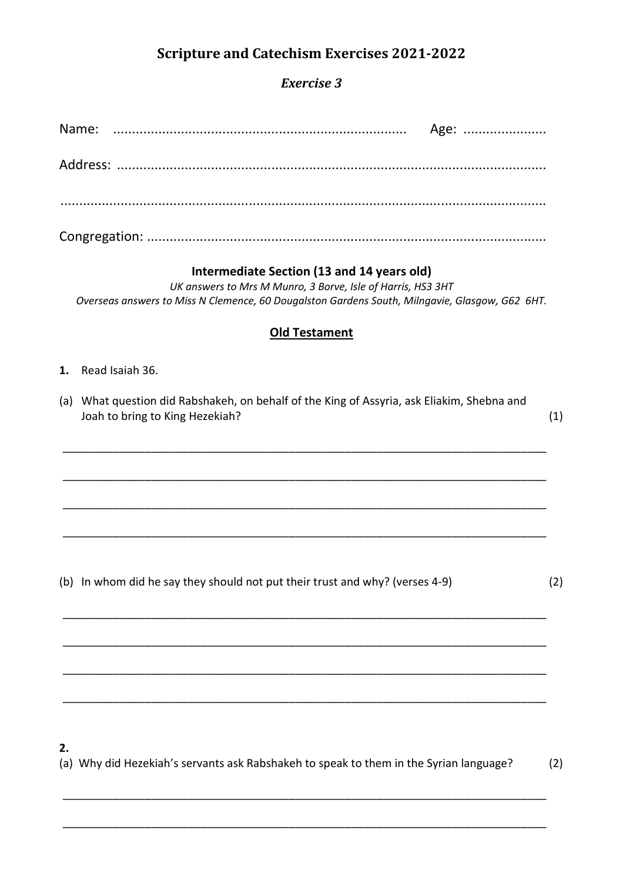# **Scripture and Catechism Exercises 2021-2022**

## Exercise 3

|    | Age:                                                                                                                                                                                                        |     |
|----|-------------------------------------------------------------------------------------------------------------------------------------------------------------------------------------------------------------|-----|
|    |                                                                                                                                                                                                             |     |
|    |                                                                                                                                                                                                             |     |
|    |                                                                                                                                                                                                             |     |
|    | Intermediate Section (13 and 14 years old)<br>UK answers to Mrs M Munro, 3 Borve, Isle of Harris, HS3 3HT<br>Overseas answers to Miss N Clemence, 60 Dougalston Gardens South, Milngavie, Glasgow, G62 6HT. |     |
|    | <b>Old Testament</b>                                                                                                                                                                                        |     |
| 1. | Read Isaiah 36.                                                                                                                                                                                             |     |
|    | (a) What question did Rabshakeh, on behalf of the King of Assyria, ask Eliakim, Shebna and<br>Joah to bring to King Hezekiah?                                                                               | (1) |
|    |                                                                                                                                                                                                             |     |
|    |                                                                                                                                                                                                             |     |
|    |                                                                                                                                                                                                             |     |
|    | (b) In whom did he say they should not put their trust and why? (verses 4-9)                                                                                                                                | (2) |
|    |                                                                                                                                                                                                             |     |
|    |                                                                                                                                                                                                             |     |
|    |                                                                                                                                                                                                             |     |

### $2.$

(a) Why did Hezekiah's servants ask Rabshakeh to speak to them in the Syrian language?  $(2)$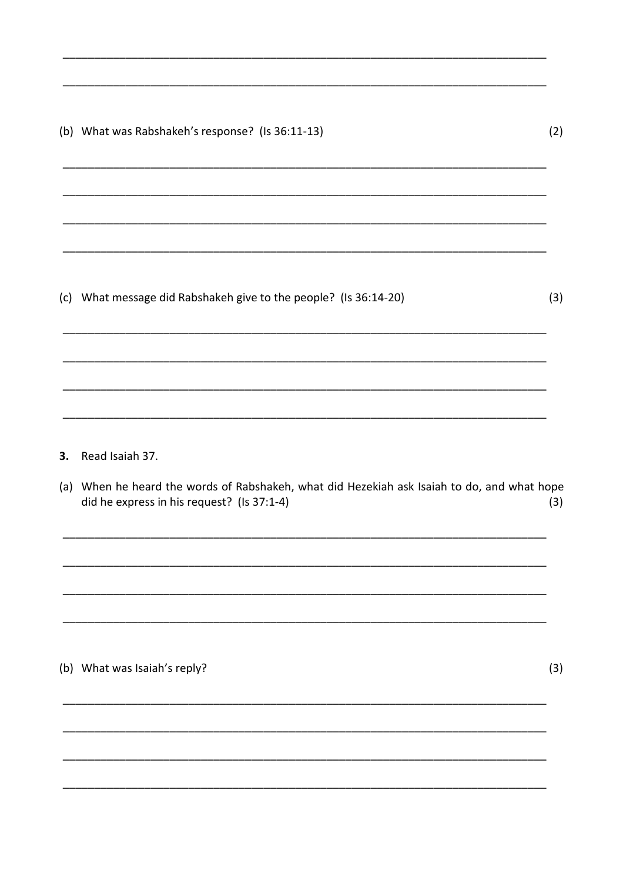|     | (b) What was Rabshakeh's response? (Is 36:11-13)                                                                                          | (2) |
|-----|-------------------------------------------------------------------------------------------------------------------------------------------|-----|
|     |                                                                                                                                           |     |
| (c) | What message did Rabshakeh give to the people? (Is 36:14-20)                                                                              | (3) |
| 3.  | Read Isaiah 37.                                                                                                                           |     |
|     | (a) When he heard the words of Rabshakeh, what did Hezekiah ask Isaiah to do, and what hope<br>did he express in his request? (Is 37:1-4) | (3) |
|     |                                                                                                                                           |     |
|     | (b) What was Isaiah's reply?                                                                                                              | (3) |

 $\overline{\phantom{a}}$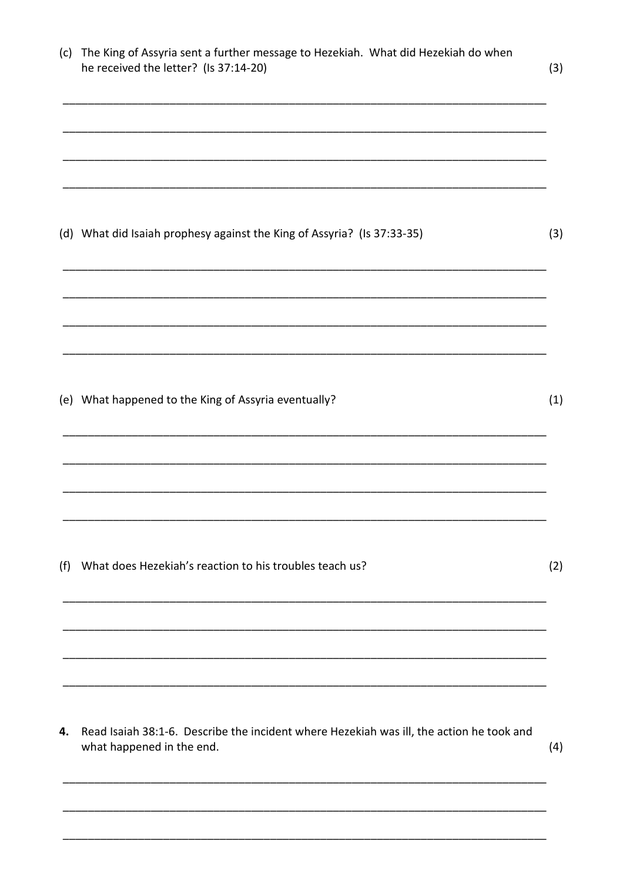| (c) | The King of Assyria sent a further message to Hezekiah. What did Hezekiah do when<br>he received the letter? (Is 37:14-20) | (3) |
|-----|----------------------------------------------------------------------------------------------------------------------------|-----|
|     |                                                                                                                            |     |
|     | (d) What did Isaiah prophesy against the King of Assyria? (Is 37:33-35)                                                    | (3) |
|     |                                                                                                                            |     |
|     | (e) What happened to the King of Assyria eventually?                                                                       | (1) |
|     |                                                                                                                            |     |
| (f) | What does Hezekiah's reaction to his troubles teach us?                                                                    | (2) |
|     |                                                                                                                            |     |
| 4.  | Read Isaiah 38:1-6. Describe the incident where Hezekiah was ill, the action he took and<br>what happened in the end.      | (4) |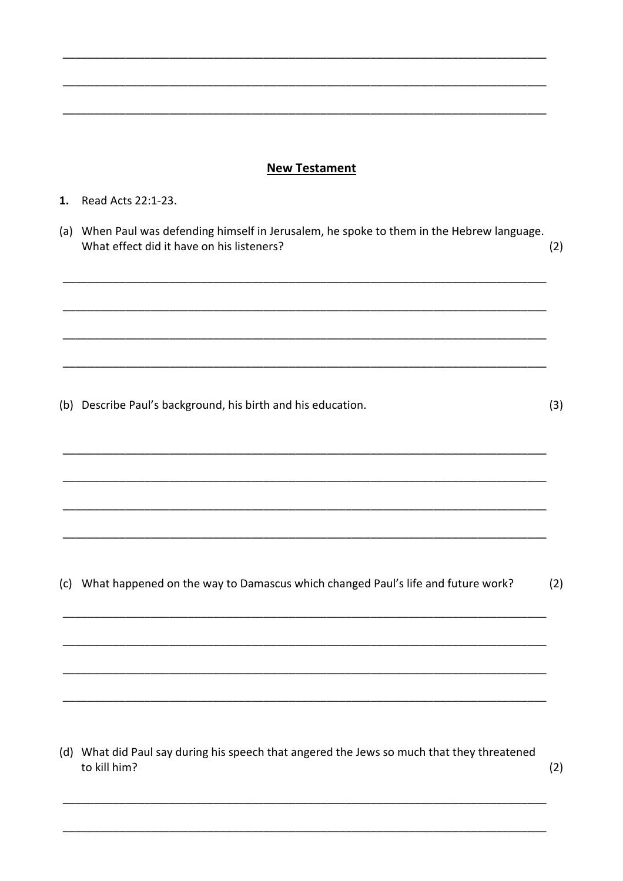#### **New Testament**

#### 1. Read Acts 22:1-23.

(a) When Paul was defending himself in Jerusalem, he spoke to them in the Hebrew language. What effect did it have on his listeners?  $(2)$ 

(b) Describe Paul's background, his birth and his education.

 $(3)$ 

(c) What happened on the way to Damascus which changed Paul's life and future work?  $(2)$ 

(d) What did Paul say during his speech that angered the Jews so much that they threatened to kill him?

 $(2)$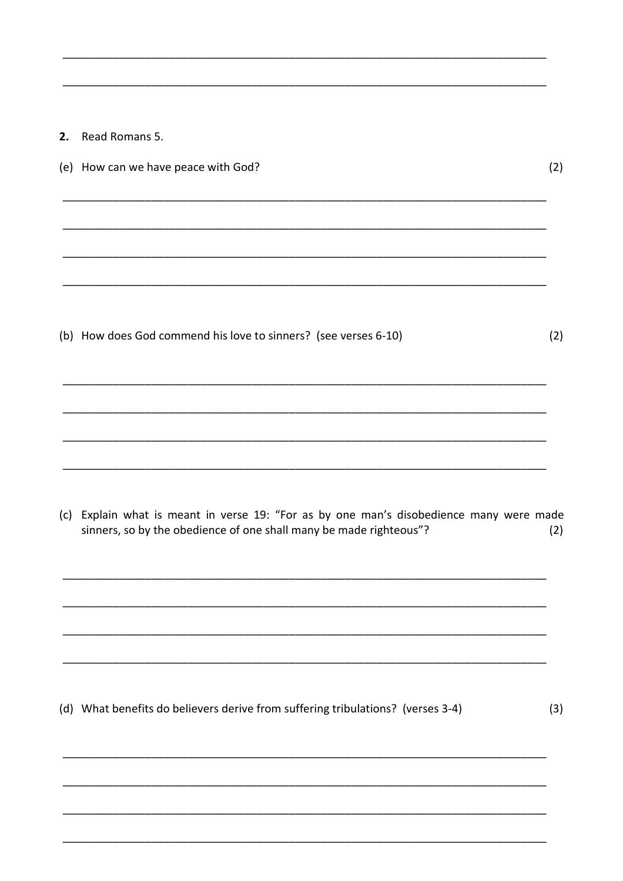2. Read Romans 5.

| (e) How can we have peace with God?                             | (2) |
|-----------------------------------------------------------------|-----|
|                                                                 |     |
|                                                                 |     |
|                                                                 |     |
|                                                                 |     |
|                                                                 |     |
| (b) How does God commend his love to sinners? (see verses 6-10) | (2) |
|                                                                 |     |
|                                                                 |     |

(c) Explain what is meant in verse 19: "For as by one man's disobedience many were made sinners, so by the obedience of one shall many be made righteous"?  $(2)$ 

(d) What benefits do believers derive from suffering tribulations? (verses 3-4)  $(3)$